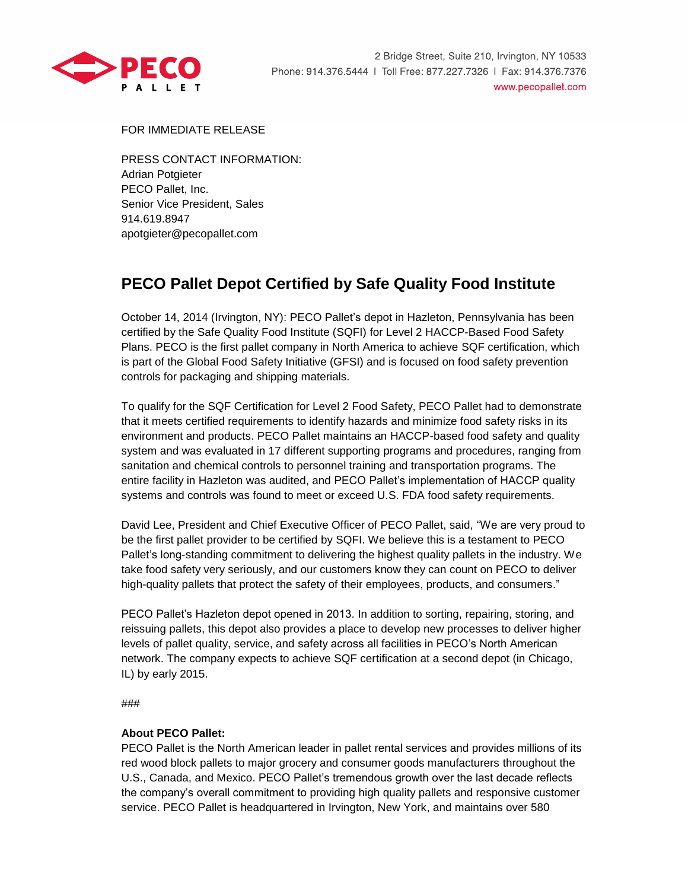

FOR IMMEDIATE RELEASE

PRESS CONTACT INFORMATION: Adrian Potgieter PECO Pallet, Inc. Senior Vice President, Sales 914.619.8947 apotgieter@pecopallet.com

## **PECO Pallet Depot Certified by Safe Quality Food Institute**

October 14, 2014 (Irvington, NY): PECO Pallet's depot in Hazleton, Pennsylvania has been certified by the Safe Quality Food Institute (SQFI) for Level 2 HACCP-Based Food Safety Plans. PECO is the first pallet company in North America to achieve SQF certification, which is part of the Global Food Safety Initiative (GFSI) and is focused on food safety prevention controls for packaging and shipping materials.

To qualify for the SQF Certification for Level 2 Food Safety, PECO Pallet had to demonstrate that it meets certified requirements to identify hazards and minimize food safety risks in its environment and products. PECO Pallet maintains an HACCP-based food safety and quality system and was evaluated in 17 different supporting programs and procedures, ranging from sanitation and chemical controls to personnel training and transportation programs. The entire facility in Hazleton was audited, and PECO Pallet's implementation of HACCP quality systems and controls was found to meet or exceed U.S. FDA food safety requirements.

David Lee, President and Chief Executive Officer of PECO Pallet, said, "We are very proud to be the first pallet provider to be certified by SQFI. We believe this is a testament to PECO Pallet's long-standing commitment to delivering the highest quality pallets in the industry. We take food safety very seriously, and our customers know they can count on PECO to deliver high-quality pallets that protect the safety of their employees, products, and consumers."

PECO Pallet's Hazleton depot opened in 2013. In addition to sorting, repairing, storing, and reissuing pallets, this depot also provides a place to develop new processes to deliver higher levels of pallet quality, service, and safety across all facilities in PECO's North American network. The company expects to achieve SQF certification at a second depot (in Chicago, IL) by early 2015.

###

## **About PECO Pallet:**

PECO Pallet is the North American leader in pallet rental services and provides millions of its red wood block pallets to major grocery and consumer goods manufacturers throughout the U.S., Canada, and Mexico. PECO Pallet's tremendous growth over the last decade reflects the company's overall commitment to providing high quality pallets and responsive customer service. PECO Pallet is headquartered in Irvington, New York, and maintains over 580